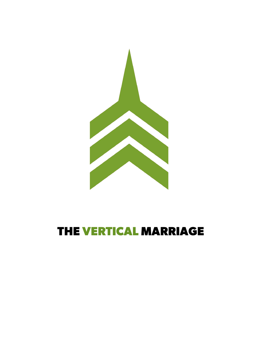

# **THE VERTICAL MARRIAGE**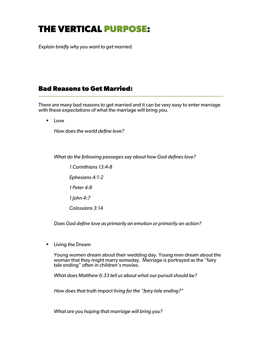## **THE VERTICAL PURPOSE:**

*Explain briefly why you want to get married.*

### **Bad Reasons to Get Married:** \_\_\_\_\_\_\_\_\_\_\_\_\_\_\_\_\_\_\_\_\_\_\_\_\_\_\_\_\_\_\_\_\_\_\_\_\_\_\_\_\_\_\_\_\_\_\_\_\_\_\_\_\_\_\_\_\_\_\_\_\_\_\_\_\_\_\_\_\_\_\_\_

There are many bad reasons to get married and it can be very easy to enter marriage with these expectations of what the marriage will bring you.

■ Love

*How does the world define love?*

*What do the following passages say about how God defines love?*

*1 Corinthians 13:4-8 Ephesians 4:1-2 1 Peter 4:8 1 John 4:7 Colossians 3:14*

*Does God define love as primarily an emotion or primarily an action?*

■ Living the Dream

Young women dream about their wedding day. Young men dream about the woman that they might marry someday. Marriage is portrayed as the "fairy tale ending" often in children's movies.

*What does Matthew 6:33 tell us about what our pursuit should be?*

*How does that truth impact living for the "fairy tale ending?"*

*What are you hoping that marriage will bring you?*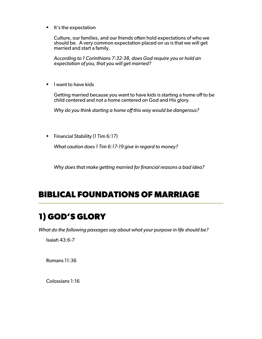■ It's the expectation

Culture, our families, and our friends often hold expectations of who we should be. A very common expectation placed on us is that we will get married and start a family.

*According to 1 Corinthians 7:32-38, does God require you or hold an expectation of you, that you will get married?*

■ I want to have kids

Getting married because you want to have kids is starting a home off to be child centered and not a home centered on God and His glory.

*Why do you think starting a home off this way would be dangerous?*

■ Financial Stability (1 Tim 6:17)

*What caution does 1 Tim 6:17-19 give in regard to money?*

*Why does that make getting married for financial reasons a bad idea?*

#### **BIBLICAL FOUNDATIONS OF MARRIAGE** \_\_\_\_\_\_\_\_\_\_\_\_\_\_\_\_\_\_\_\_\_\_\_\_\_\_\_\_\_\_\_\_\_\_\_\_\_\_\_\_\_\_\_\_\_\_\_\_\_\_\_\_\_\_\_\_\_\_\_\_\_\_\_\_\_\_\_\_\_\_\_\_

## **1) GOD'S GLORY**

*What do the following passages say about what your purpose in life should be?*

Isaiah 43:6-7

Romans 11:36

Colossians 1:16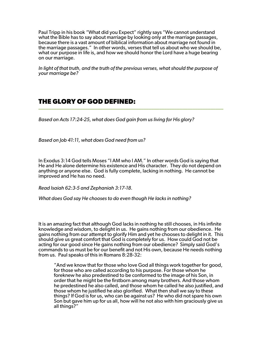Paul Tripp in his book "What did you Expect" rightly says "We cannot understand what the Bible has to say about marriage by looking only at the marriage passages, because there is a vast amount of biblical information about marriage not found in the marriage passages." In other words, verses that tell us about who we should be, what our purpose in life is, and how we should honor the Lord have a huge bearing on our marriage.

*In light of that truth, and the truth of the previous verses, what should the purpose of your marriage be?*

\_\_\_\_\_\_\_\_\_\_\_\_\_\_\_\_\_\_\_\_\_\_\_\_\_\_\_\_\_\_\_\_\_\_\_\_\_\_\_\_\_\_\_\_\_\_\_\_\_\_\_\_\_\_\_\_\_\_\_\_\_\_\_\_\_\_\_\_\_\_\_\_

#### **THE GLORY OF GOD DEFINED:**

*Based on Acts 17:24-25, what does God gain from us living for His glory?*

*Based on Job 41:11, what does God need from us?*

In Exodus 3:14 God tells Moses "I AM who I AM." In other words God is saying that He and He alone determine his existence and His character. They do not depend on anything or anyone else. God is fully complete, lacking in nothing. He cannot be improved and He has no need.

*Read Isaiah 62:3-5 and Zephaniah 3:17-18.*

*What does God say He chooses to do even though He lacks in nothing?*

It is an amazing fact that although God lacks in nothing he still chooses, in His infinite knowledge and wisdom, to delight in us. He gains nothing from our obedience. He gains nothing from our attempt to glorify Him and yet he chooses to delight in it. This should give us great comfort that God is completely for us. How could God not be acting for our good since He gains nothing from our obedience? Simply said God's commands to us must be for our benefit and not His own, because He needs nothing from us. Paul speaks of this in Romans 8:28-32:

"And we know that for those who love God all things work together for good, for those who are called according to his purpose. For those whom he foreknew he also predestined to be conformed to the image of his Son, in order that he might be the firstborn among many brothers. And those whom he predestined he also called, and those whom he called he also justified, and those whom he justified he also glorified. What then shall we say to these things? If God is for us, who can be against us? He who did not spare his own Son but gave him up for us all, how will he not also with him graciously give us all things?"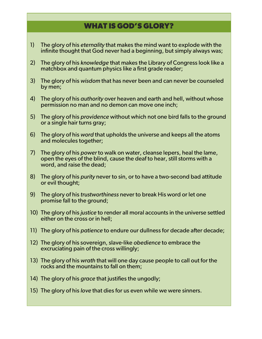### **WHAT IS GOD'S GLORY?**

- 1) The glory of his *eternality* that makes the mind want to explode with the infinite thought that God never had a beginning, but simply always was;
- 2) The glory of his *knowledge* that makes the Library of Congress look like a matchbox and quantum physics like a first grade reader;
- 3) The glory of his *wisdom* that has never been and can never be counseled by men;
- 4) The glory of his *authority* over heaven and earth and hell, without whose permission no man and no demon can move one inch;
- 5) The glory of his *providence* without which not one bird falls to the ground or a single hair turns gray;
- 6) The glory of his *word* that upholds the universe and keeps all the atoms and molecules together;
- 7) The glory of his *power* to walk on water, cleanse lepers, heal the lame, open the eyes of the blind, cause the deaf to hear, still storms with a word, and raise the dead;
- 8) The glory of his *purity* never to sin, or to have a two-second bad attitude or evil thought;
- 9) The glory of his *trustworthiness* never to break His word or let one promise fall to the ground;
- 10) The glory of his *justice* to render all moral accounts in the universe settled either on the cross or in hell;
- 11) The glory of his *patience* to endure our dullness for decade after decade;
- 12) The glory of his sovereign, slave-like *obedience* to embrace the excruciating pain of the cross willingly;
- 13) The glory of his *wrath* that will one day cause people to call out for the rocks and the mountains to fall on them;
- 14) The glory of his *grace* that justifies the ungodly;
- 15) The glory of his *love* that dies for us even while we were sinners.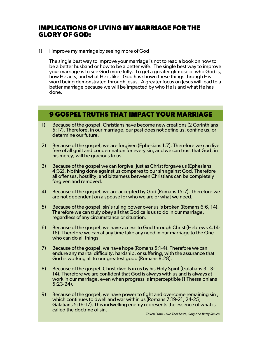### **IMPLICATIONS OF LIVING MY MARRIAGE FOR THE GLORY OF GOD:**

1) I improve my marriage by seeing more of God

The single best way to improve your marriage is not to read a book on how to be a better husband or how to be a better wife. The single best way to improve your marriage is to see God more fully. To get a greater glimpse of who God is, how He acts, and what He is like. God has shown these things through His word being demonstrated through Jesus. A greater focus on Jesus will lead to a better marriage because we will be impacted by who He is and what He has done.

#### **9 GOSPEL TRUTHS THAT IMPACT YOUR MARRIAGE**

- 1) Because of the gospel, Christians have become new creations (2 Corinthians 5:17). Therefore, in our marriage, our past does not define us, confine us, or determine our future.
- 2) Because of the gospel, we are forgiven (Ephesians 1:7). Therefore we can live free of all guilt and condemnation for every sin, and we can trust that God, in his mercy, will be gracious to us.
- 3) Because of the gospel we can forgive, just as Christ forgave us (Ephesians 4:32). Nothing done against us compares to our sin against God. Therefore all offenses, hostility, and bitterness between Christians can be completely forgiven and removed.
- 4) Because of the gospel, we are accepted by God (Romans 15:7). Therefore we are not dependent on a spouse for who we are or what we need.
- 5) Because of the gospel, sin's ruling power over us is broken (Romans 6:6, 14). Therefore we can truly obey all that God calls us to do in our marriage, regardless of any circumstance or situation.
- 6) Because of the gospel, we have access to God through Christ (Hebrews 4:14- 16). Therefore we can at any time take any need in our marriage to the One who can do all things.
- 7) Because of the gospel, we have hope (Romans 5:1-4). Therefore we can endure any marital difficulty, hardship, or suffering, with the assurance that God is working all to our greatest good (Romans 8:28).
- 8) Because of the gospel, Christ dwells in us by his Holy Spirit (Galatians 3:13- 14). Therefore we are confident that God is always with us and is always at work in our marriage, even when progress is imperceptible (1 Thessalonians 5:23-24).
- 9) Because of the gospel, we have power to fight and overcome remaining sin , which continues to dwell and war within us (Romans 7:19-21, 24-25; Galatians 5:16-17). This indwelling enemy represents the essence of what is called the doctrine of sin.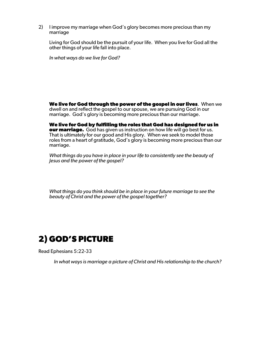2) I improve my marriage when God's glory becomes more precious than my marriage

Living for God should be the pursuit of your life. When you live for God all the other things of your life fall into place.

*In what ways do we live for God?*

**We live for God through the power of the gospel in our lives**. When we dwell on and reflect the gospel to our spouse, we are pursuing God in our marriage. God's glory is becoming more precious than our marriage.

**We live for God by fulfilling the roles that God has designed for us in our marriage.** God has given us instruction on how life will go best for us. That is ultimately for our good and His glory. When we seek to model those roles from a heart of gratitude, God's glory is becoming more precious than our marriage.

*What things do you have in place in your life to consistently see the beauty of Jesus and the power of the gospel?*

*What things do you think should be in place in your future marriage to see the beauty of Christ and the power of the gospel together?*

### **2) GOD'S PICTURE**

Read Ephesians 5:22-33

*In what ways is marriage a picture of Christ and His relationship to the church?*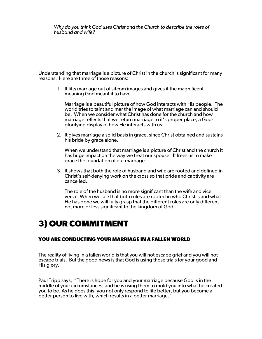*Why do you think God uses Christ and the Church to describe the roles of husband and wife?*

Understanding that marriage is a picture of Christ in the church is significant for many reasons. Here are three of those reasons:

1. It lifts marriage out of sitcom images and gives it the magnificent meaning God meant it to have.

Marriage is a beautiful picture of how God interacts with His people. The world tries to taint and mar the image of what marriage can and should be. When we consider what Christ has done for the church and how marriage reflects that we return marriage to it's proper place, a God- glorifying display of how He interacts with us.

2. It gives marriage a solid basis in grace, since Christ obtained and sustains his bride by grace alone.

When we understand that marriage is a picture of Christ and the church it has huge impact on the way we treat our spouse. It frees us to make grace the foundation of our marriage.

3. It shows that both the role of husband and wife are rooted and defined in Christ's self-denying work on the cross so that pride and captivity are cancelled.

The role of the husband is no more significant than the wife and vice versa. When we see that both roles are rooted in who Christ is and what He has done we will fully grasp that the different roles are only different not more or less significant to the kingdom of God.

## **3) OUR COMMITMENT**

#### **YOU ARE CONDUCTING YOUR MARRIAGE IN A FALLEN WORLD**

The reality of living in a fallen world is that you will not escape grief and you will not escape trials. But the good news is that God is using those trials for your good and His glory.

Paul Tripp says, "There is hope for you and your marriage because God is in the middle of your circumstances, and he is using them to mold you into what he created you to be. As he does this, you not only respond to life better, but you become a better person to live with, which results in a better marriage."